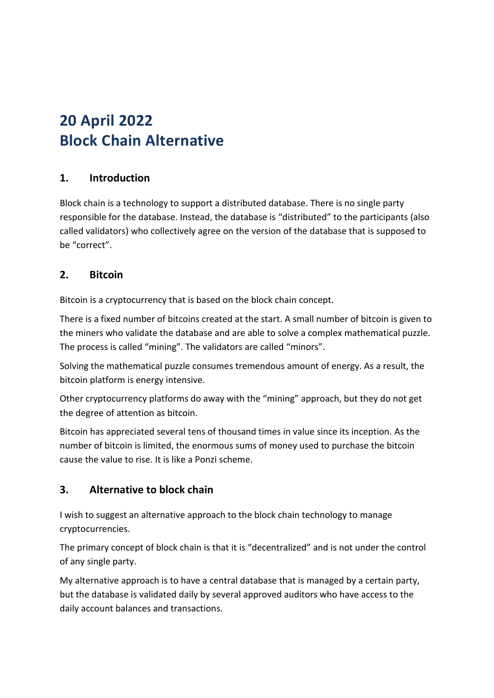# **20 April 2022 Block Chain Alternative**

## **1. Introduction**

Block chain is a technology to support a distributed database. There is no single party responsible for the database. Instead, the database is "distributed" to the participants (also called validators) who collectively agree on the version of the database that is supposed to be "correct".

### **2. Bitcoin**

Bitcoin is a cryptocurrency that is based on the block chain concept.

There is a fixed number of bitcoins created at the start. A small number of bitcoin is given to the miners who validate the database and are able to solve a complex mathematical puzzle. The process is called "mining". The validators are called "minors".

Solving the mathematical puzzle consumes tremendous amount of energy. As a result, the bitcoin platform is energy intensive.

Other cryptocurrency platforms do away with the "mining" approach, but they do not get the degree of attention as bitcoin.

Bitcoin has appreciated several tens of thousand times in value since its inception. As the number of bitcoin is limited, the enormous sums of money used to purchase the bitcoin cause the value to rise. It is like a Ponzi scheme.

### **3. Alternative to block chain**

I wish to suggest an alternative approach to the block chain technology to manage cryptocurrencies.

The primary concept of block chain is that it is "decentralized" and is not under the control of any single party.

My alternative approach is to have a central database that is managed by a certain party, but the database is validated daily by several approved auditors who have access to the daily account balances and transactions.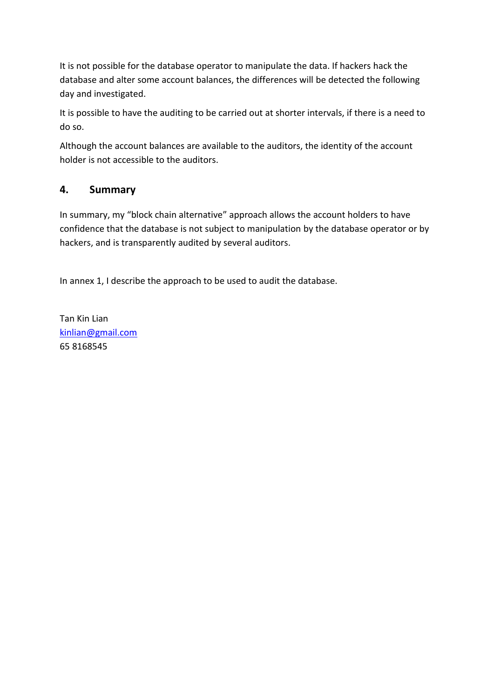It is not possible for the database operator to manipulate the data. If hackers hack the database and alter some account balances, the differences will be detected the following day and investigated.

It is possible to have the auditing to be carried out at shorter intervals, if there is a need to do so.

Although the account balances are available to the auditors, the identity of the account holder is not accessible to the auditors.

### **4. Summary**

In summary, my "block chain alternative" approach allows the account holders to have confidence that the database is not subject to manipulation by the database operator or by hackers, and is transparently audited by several auditors.

In annex 1, I describe the approach to be used to audit the database.

Tan Kin Lian [kinlian@gmail.com](mailto:kinlian@gmail.com) 65 8168545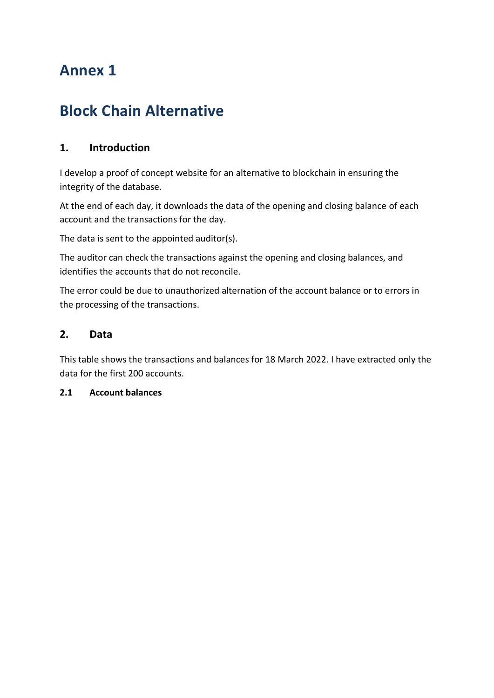# **Annex 1**

# **Block Chain Alternative**

## **1. Introduction**

I develop a proof of concept website for an alternative to blockchain in ensuring the integrity of the database.

At the end of each day, it downloads the data of the opening and closing balance of each account and the transactions for the day.

The data is sent to the appointed auditor(s).

The auditor can check the transactions against the opening and closing balances, and identifies the accounts that do not reconcile.

The error could be due to unauthorized alternation of the account balance or to errors in the processing of the transactions.

#### **2. Data**

This table shows the transactions and balances for 18 March 2022. I have extracted only the data for the first 200 accounts.

#### **2.1 Account balances**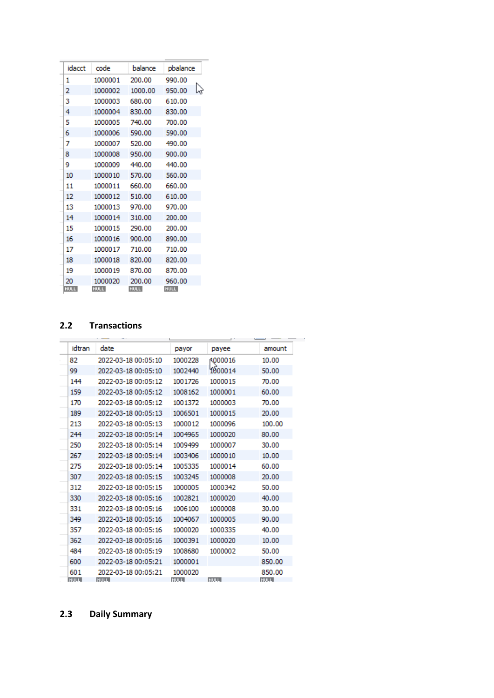| idacct      | code        | balance     | pbalance    |
|-------------|-------------|-------------|-------------|
| 1           | 1000001     | 200.00      | 990.00      |
| 2           | 1000002     | 1000.00     | 950.00      |
| 3           | 1000003     | 680.00      | 610.00      |
| 4           | 1000004     | 830.00      | 830.00      |
| 5           | 1000005     | 740.00      | 700.00      |
| 6           | 1000006     | 590.00      | 590.00      |
| 7           | 1000007     | 520.00      | 490.00      |
| 8           | 1000008     | 950.00      | 900.00      |
| 9           | 1000009     | 440.00      | 440.00      |
| 10          | 1000010     | 570.00      | 560.00      |
| 11          | 1000011     | 660.00      | 660.00      |
| 12          | 1000012     | 510.00      | 610.00      |
| 13          | 1000013     | 970.00      | 970.00      |
| 14          | 1000014     | 310.00      | 200.00      |
| 15          | 1000015     | 290.00      | 200.00      |
| 16          | 1000016     | 900.00      | 890.00      |
| 17          | 1000017     | 710.00      | 710.00      |
| 18          | 1000018     | 820.00      | 820.00      |
| 19          | 1000019     | 870.00      | 870.00      |
| 20          | 1000020     | 200.00      | 960.00      |
| <b>NULL</b> | <b>NULL</b> | <b>NULL</b> | <b>NULL</b> |

L,

#### **2.2 Transactions**

| idtran      | date                | payor       | payee       | amount      |
|-------------|---------------------|-------------|-------------|-------------|
| 82          | 2022-03-18 00:05:10 | 1000228     | A000016     | 10.00       |
| 99          | 2022-03-18 00:05:10 | 1002440     | 1000014     | 50.00       |
| 144         | 2022-03-18 00:05:12 | 1001726     | 1000015     | 70.00       |
| 159         | 2022-03-18 00:05:12 | 1008162     | 1000001     | 60.00       |
| 170         | 2022-03-18 00:05:12 | 1001372     | 1000003     | 70.00       |
| 189         | 2022-03-18 00:05:13 | 1006501     | 1000015     | 20.00       |
| 213         | 2022-03-18 00:05:13 | 1000012     | 1000096     | 100.00      |
| 244         | 2022-03-18 00:05:14 | 1004965     | 1000020     | 80.00       |
| 250         | 2022-03-18 00:05:14 | 1009499     | 1000007     | 30.00       |
| 267         | 2022-03-18 00:05:14 | 1003406     | 1000010     | 10.00       |
| 275         | 2022-03-18 00:05:14 | 1005335     | 1000014     | 60.00       |
| 307         | 2022-03-18 00:05:15 | 1003245     | 1000008     | 20.00       |
| 312         | 2022-03-18 00:05:15 | 1000005     | 1000342     | 50.00       |
| 330         | 2022-03-18 00:05:16 | 1002821     | 1000020     | 40.00       |
| 331         | 2022-03-18 00:05:16 | 1006100     | 1000008     | 30.00       |
| 349         | 2022-03-18 00:05:16 | 1004067     | 1000005     | 90.00       |
| 357         | 2022-03-18 00:05:16 | 1000020     | 1000335     | 40.00       |
| 362         | 2022-03-18 00:05:16 | 1000391     | 1000020     | 10.00       |
| 484         | 2022-03-18 00:05:19 | 1008680     | 1000002     | 50.00       |
| 600         | 2022-03-18 00:05:21 | 1000001     |             | 850.00      |
| 601         | 2022-03-18 00:05:21 | 1000020     |             | 850.00      |
| <b>NULL</b> | <b>NULL</b>         | <b>NULL</b> | <b>NULL</b> | <b>NULL</b> |

## **2.3 Daily Summary**